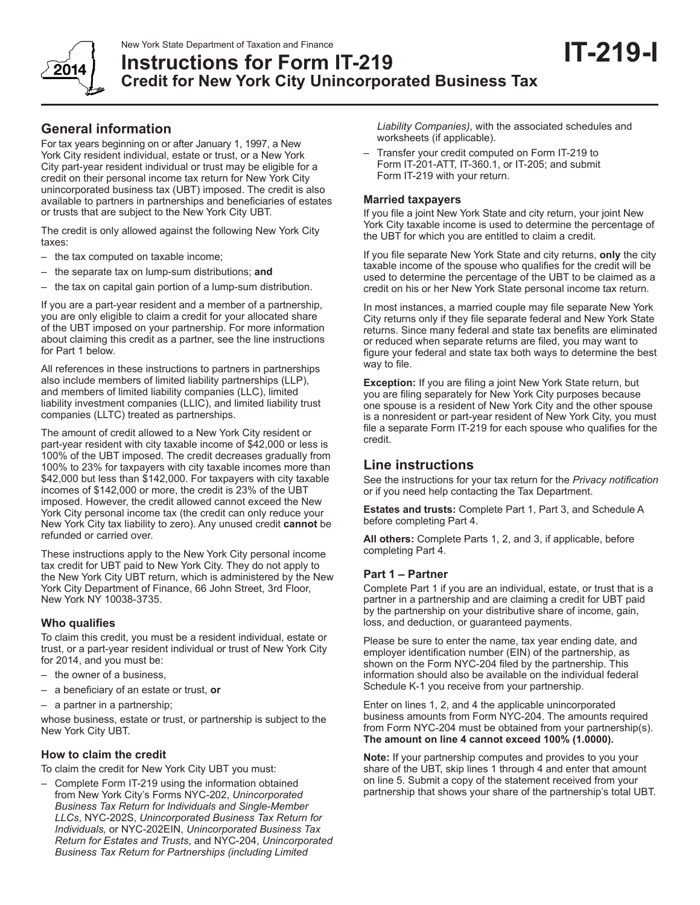

# **Instructions for Form IT-219 Credit for New York City Unincorporated Business Tax**

For tax years beginning on or after January 1, 1997, a New York City resident individual, estate or trust, or a New York City part-year resident individual or trust may be eligible for a credit on their personal income tax return for New York City unincorporated business tax (UBT) imposed. The credit is also available to partners in partnerships and beneficiaries of estates or trusts that are subject to the New York City UBT.

The credit is only allowed against the following New York City taxes:

- the tax computed on taxable income;
- the separate tax on lump-sum distributions; **and**
- the tax on capital gain portion of a lump-sum distribution.

If you are a part-year resident and a member of a partnership, you are only eligible to claim a credit for your allocated share of the UBT imposed on your partnership. For more information about claiming this credit as a partner, see the line instructions for Part 1 below.

All references in these instructions to partners in partnerships also include members of limited liability partnerships (LLP), and members of limited liability companies (LLC), limited liability investment companies (LLIC), and limited liability trust companies (LLTC) treated as partnerships.

The amount of credit allowed to a New York City resident or part-year resident with city taxable income of \$42,000 or less is 100% of the UBT imposed. The credit decreases gradually from 100% to 23% for taxpayers with city taxable incomes more than \$42,000 but less than \$142,000. For taxpayers with city taxable incomes of \$142,000 or more, the credit is 23% of the UBT imposed. However, the credit allowed cannot exceed the New York City personal income tax (the credit can only reduce your New York City tax liability to zero). Any unused credit **cannot** be refunded or carried over.

These instructions apply to the New York City personal income tax credit for UBT paid to New York City. They do not apply to the New York City UBT return, which is administered by the New York City Department of Finance, 66 John Street, 3rd Floor, New York NY 10038-3735.

# **Who qualifies**

To claim this credit, you must be a resident individual, estate or trust, or a part-year resident individual or trust of New York City for 2014, and you must be:

- the owner of a business,
- a beneficiary of an estate or trust, **or**
- a partner in a partnership;

whose business, estate or trust, or partnership is subject to the New York City UBT.

# **How to claim the credit**

To claim the credit for New York City UBT you must:

– Complete Form IT-219 using the information obtained from New York City's Forms NYC-202, *Unincorporated Business Tax Return for Individuals and Single-Member LLCs*, NYC-202S, *Unincorporated Business Tax Return for Individuals,* or NYC-202EIN, *Unincorporated Business Tax Return for Estates and Trusts*, and NYC-204, *Unincorporated Business Tax Return for Partnerships (including Limited* 

*Liability Companies)*, with the associated schedules and worksheets (if applicable).

**IT-219-I**

– Transfer your credit computed on Form IT-219 to Form IT-201-ATT, IT-360.1, or IT-205; and submit Form IT-219 with your return.

# **Married taxpayers**

If you file a joint New York State and city return, your joint New York City taxable income is used to determine the percentage of the UBT for which you are entitled to claim a credit.

If you file separate New York State and city returns, **only** the city taxable income of the spouse who qualifies for the credit will be used to determine the percentage of the UBT to be claimed as a credit on his or her New York State personal income tax return.

In most instances, a married couple may file separate New York City returns only if they file separate federal and New York State returns. Since many federal and state tax benefits are eliminated or reduced when separate returns are filed, you may want to figure your federal and state tax both ways to determine the best way to file.

**Exception:** If you are filing a joint New York State return, but you are filing separately for New York City purposes because one spouse is a resident of New York City and the other spouse is a nonresident or part-year resident of New York City, you must file a separate Form IT‑219 for each spouse who qualifies for the credit.

# **Line instructions**

See the instructions for your tax return for the *Privacy notification* or if you need help contacting the Tax Department.

**Estates and trusts:** Complete Part 1, Part 3, and Schedule A before completing Part 4.

**All others:** Complete Parts 1, 2, and 3, if applicable, before completing Part 4.

# **Part 1 – Partner**

Complete Part 1 if you are an individual, estate, or trust that is a partner in a partnership and are claiming a credit for UBT paid by the partnership on your distributive share of income, gain, loss, and deduction, or guaranteed payments.

Please be sure to enter the name, tax year ending date, and employer identification number (EIN) of the partnership, as shown on the Form NYC‑204 filed by the partnership. This information should also be available on the individual federal Schedule K-1 you receive from your partnership.

Enter on lines 1, 2, and 4 the applicable unincorporated business amounts from Form NYC-204. The amounts required from Form NYC-204 must be obtained from your partnership(s). **The amount on line 4 cannot exceed 100% (1.0000).**

**Note:** If your partnership computes and provides to you your share of the UBT, skip lines 1 through 4 and enter that amount on line 5. Submit a copy of the statement received from your partnership that shows your share of the partnership's total UBT.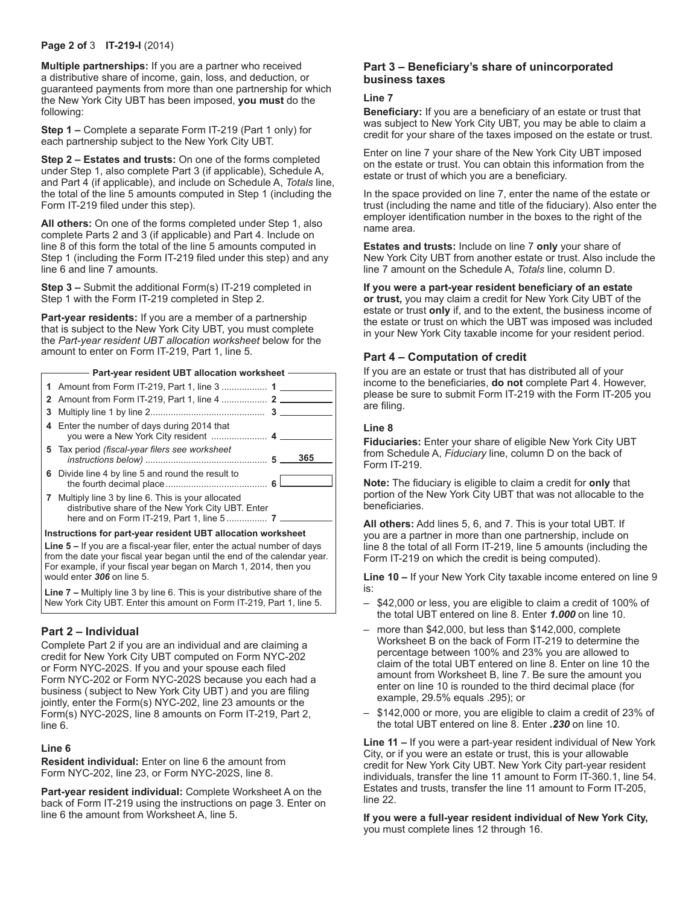#### **Page 2 of** 3 **IT-219-I** (2014)

**Multiple partnerships:** If you are a partner who received a distributive share of income, gain, loss, and deduction, or guaranteed payments from more than one partnership for which the New York City UBT has been imposed, **you must** do the following:

**Step 1 –** Complete a separate Form IT-219 (Part 1 only) for each partnership subject to the New York City UBT.

**Step 2 – Estates and trusts:** On one of the forms completed under Step 1, also complete Part 3 (if applicable), Schedule A, and Part 4 (if applicable), and include on Schedule A, *Totals* line, the total of the line 5 amounts computed in Step 1 (including the Form IT-219 filed under this step).

**All others:** On one of the forms completed under Step 1, also complete Parts 2 and 3 (if applicable) and Part 4. Include on line 8 of this form the total of the line 5 amounts computed in Step 1 (including the Form IT-219 filed under this step) and any line 6 and line 7 amounts.

**Step 3 –** Submit the additional Form(s) IT-219 completed in Step 1 with the Form IT-219 completed in Step 2.

**Part-year residents:** If you are a member of a partnership that is subject to the New York City UBT, you must complete the *Part-year resident UBT allocation worksheet* below for the amount to enter on Form IT-219, Part 1, line 5.

#### **Part-year resident UBT allocation worksheet**

| 1 Amount from Form IT-219, Part 1, line 3  1                                                              |     |
|-----------------------------------------------------------------------------------------------------------|-----|
|                                                                                                           |     |
|                                                                                                           |     |
| 4 Enter the number of days during 2014 that                                                               |     |
| 5 Tax period (fiscal-year filers see worksheet                                                            | 365 |
| 6 Divide line 4 by line 5 and round the result to                                                         |     |
| 7 Multiply line 3 by line 6. This is your allocated<br>distributive share of the New York City UBT. Enter |     |

#### **Instructions for part-year resident UBT allocation worksheet**

Line 5 – If you are a fiscal-year filer, enter the actual number of days from the date your fiscal year began until the end of the calendar year. For example, if your fiscal year began on March 1, 2014, then you would enter *306* on line 5.

**Line 7 –** Multiply line 3 by line 6. This is your distributive share of the New York City UBT. Enter this amount on Form IT-219, Part 1, line 5.

#### **Part 2 – Individual**

Complete Part 2 if you are an individual and are claiming a credit for New York City UBT computed on Form NYC-202 or Form NYC-202S. If you and your spouse each filed Form NYC-202 or Form NYC-202S because you each had a business ( subject to New York City UBT) and you are filing jointly, enter the Form(s) NYC-202, line 23 amounts or the Form(s) NYC-202S, line 8 amounts on Form IT-219, Part 2, line 6.

#### **Line 6**

**Resident individual:** Enter on line 6 the amount from Form NYC-202, line 23, or Form NYC-202S, line 8.

**Part-year resident individual:** Complete Worksheet A on the back of Form IT-219 using the instructions on page 3. Enter on line 6 the amount from Worksheet A, line 5.

#### **Part 3 – Beneficiary's share of unincorporated business taxes**

#### **Line 7**

**Beneficiary:** If you are a beneficiary of an estate or trust that was subject to New York City UBT, you may be able to claim a credit for your share of the taxes imposed on the estate or trust.

Enter on line 7 your share of the New York City UBT imposed on the estate or trust. You can obtain this information from the estate or trust of which you are a beneficiary.

In the space provided on line 7, enter the name of the estate or trust (including the name and title of the fiduciary). Also enter the employer identification number in the boxes to the right of the name area.

**Estates and trusts:** Include on line 7 **only** your share of New York City UBT from another estate or trust. Also include the line 7 amount on the Schedule A, *Totals* line, column D.

**If you were a part-year resident beneficiary of an estate or trust,** you may claim a credit for New York City UBT of the estate or trust **only** if, and to the extent, the business income of the estate or trust on which the UBT was imposed was included in your New York City taxable income for your resident period.

#### **Part 4 – Computation of credit**

If you are an estate or trust that has distributed all of your income to the beneficiaries, **do not** complete Part 4. However, please be sure to submit Form IT-219 with the Form IT-205 you are filing.

#### **Line 8**

**Fiduciaries:** Enter your share of eligible New York City UBT from Schedule A, *Fiduciary* line, column D on the back of Form IT-219.

**Note:** The fiduciary is eligible to claim a credit for **only** that portion of the New York City UBT that was not allocable to the beneficiaries.

**All others:** Add lines 5, 6, and 7. This is your total UBT. If you are a partner in more than one partnership, include on line 8 the total of all Form IT-219, line 5 amounts (including the Form IT-219 on which the credit is being computed).

**Line 10 –** If your New York City taxable income entered on line 9 is:

- \$42,000 or less, you are eligible to claim a credit of 100% of the total UBT entered on line 8. Enter *1.000* on line 10.
- more than \$42,000, but less than \$142,000, complete Worksheet B on the back of Form IT-219 to determine the percentage between 100% and 23% you are allowed to claim of the total UBT entered on line 8. Enter on line 10 the amount from Worksheet B, line 7. Be sure the amount you enter on line 10 is rounded to the third decimal place (for example, 29.5% equals .295); or
- \$142,000 or more, you are eligible to claim a credit of 23% of the total UBT entered on line 8. Enter *.230* on line 10.

**Line 11 –** If you were a part-year resident individual of New York City, or if you were an estate or trust, this is your allowable credit for New York City UBT. New York City part-year resident individuals, transfer the line 11 amount to Form IT-360.1, line 54. Estates and trusts, transfer the line 11 amount to Form IT-205, line 22.

**If you were a full-year resident individual of New York City,** you must complete lines 12 through 16.